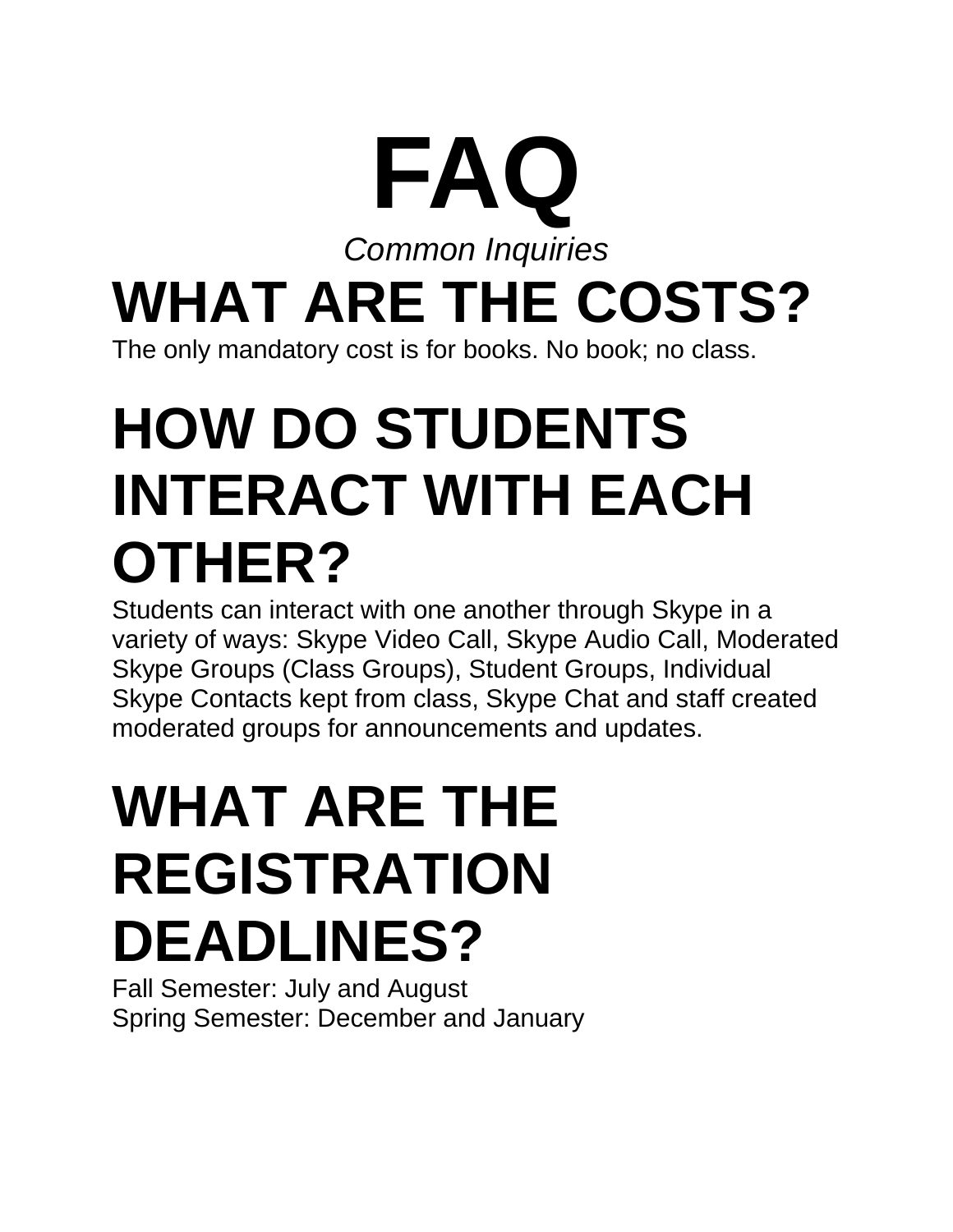#### **FAQ** *Common Inquiries* **WHAT ARE THE COSTS?** The only mandatory cost is for books. No book; no class.

## **HOW DO STUDENTS INTERACT WITH EACH OTHER?**

Students can interact with one another through Skype in a variety of ways: Skype Video Call, Skype Audio Call, Moderated Skype Groups (Class Groups), Student Groups, Individual Skype Contacts kept from class, Skype Chat and staff created moderated groups for announcements and updates.

### **WHAT ARE THE REGISTRATION DEADLINES?**

Fall Semester: July and August Spring Semester: December and January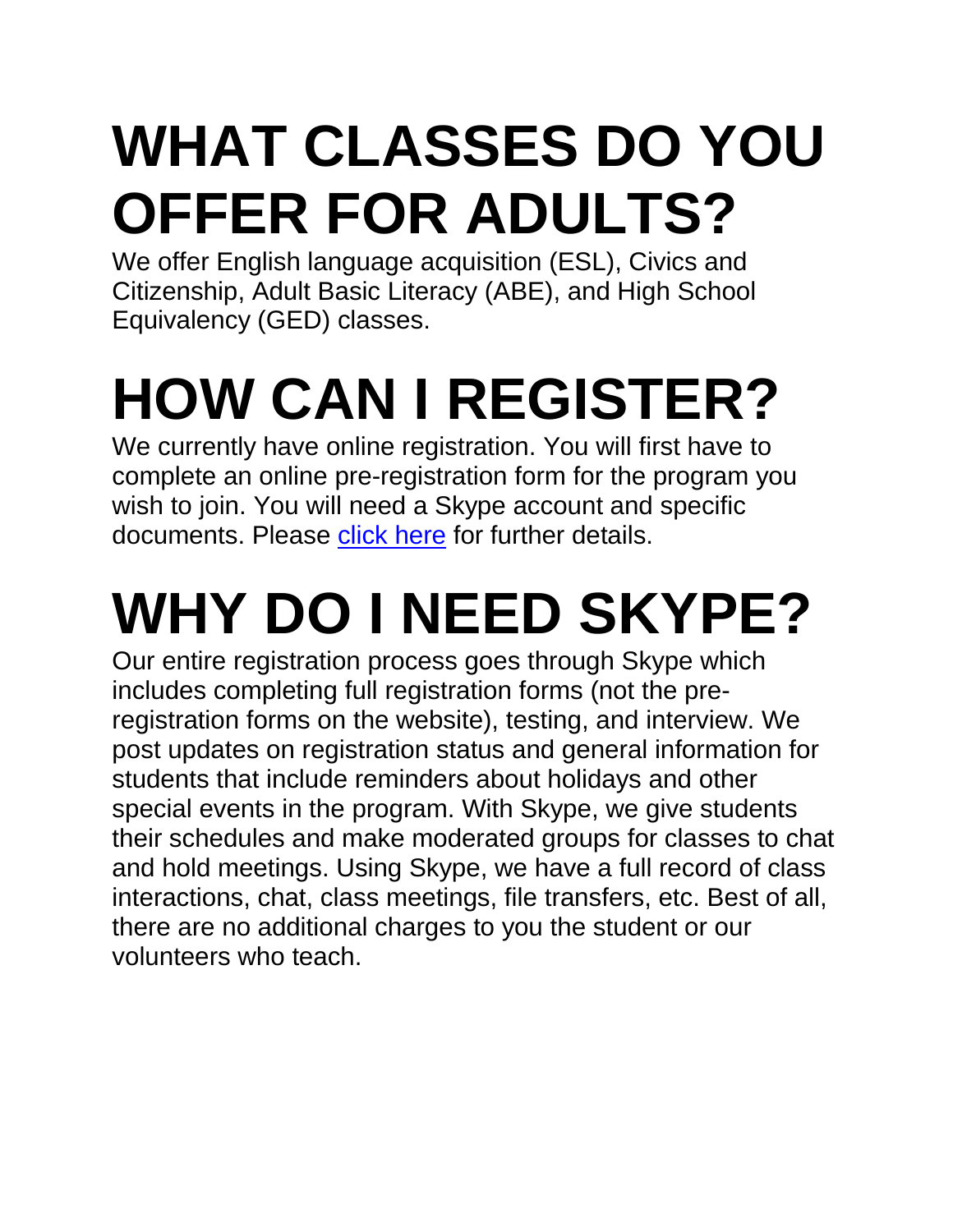# **WHAT CLASSES DO YOU OFFER FOR ADULTS?**

We offer English language acquisition (ESL), Civics and Citizenship, Adult Basic Literacy (ABE), and High School Equivalency (GED) classes.

# **HOW CAN I REGISTER?**

We currently have online registration. You will first have to complete an online pre-registration form for the program you wish to join. You will need a Skype account and specific documents. Please click [here](https://www.jclibrary.org/library-resources/literacy-program) for further details.

# **WHY DO I NEED SKYPE?**

Our entire registration process goes through Skype which includes completing full registration forms (not the preregistration forms on the website), testing, and interview. We post updates on registration status and general information for students that include reminders about holidays and other special events in the program. With Skype, we give students their schedules and make moderated groups for classes to chat and hold meetings. Using Skype, we have a full record of class interactions, chat, class meetings, file transfers, etc. Best of all, there are no additional charges to you the student or our volunteers who teach.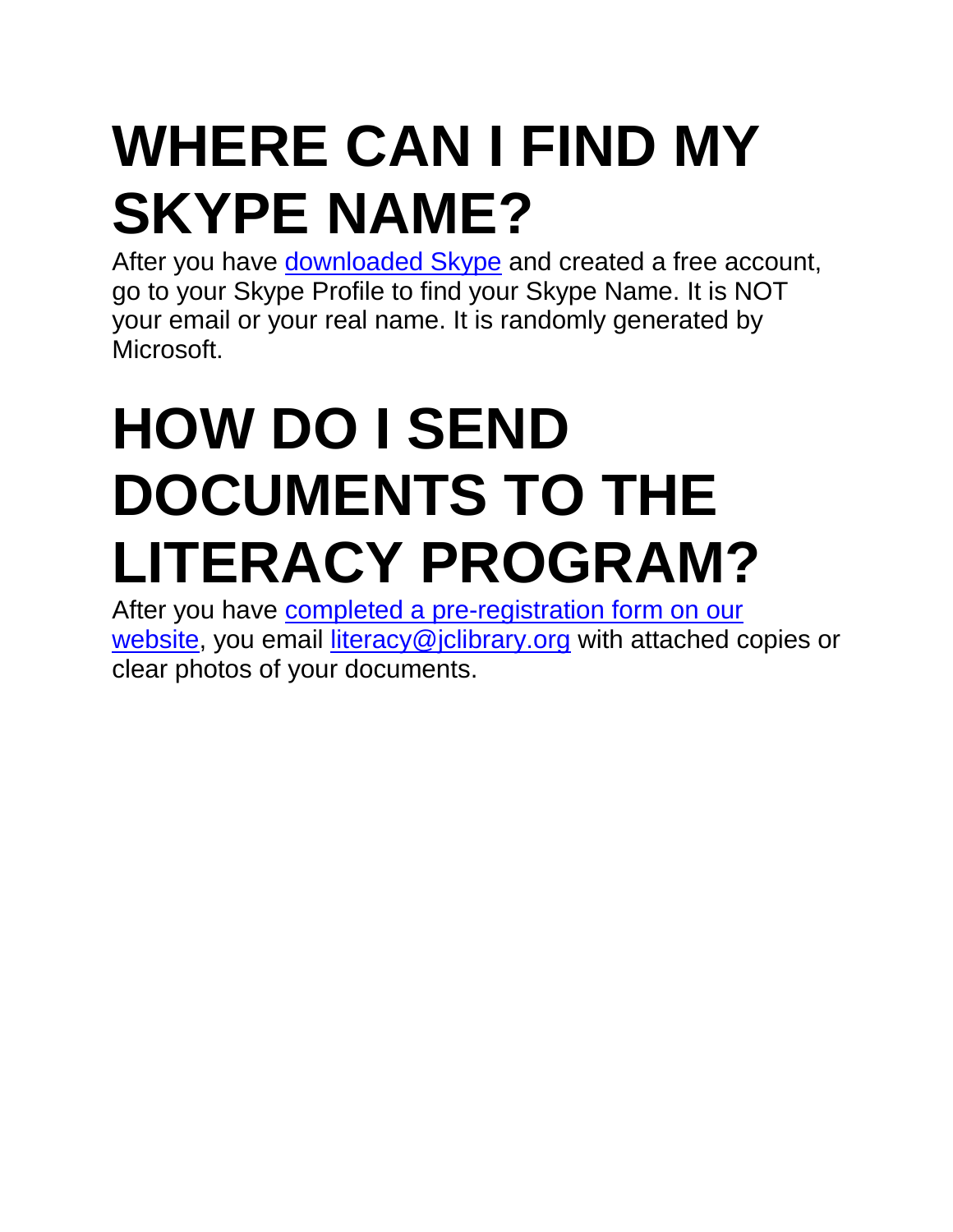## **WHERE CAN I FIND MY SKYPE NAME?**

After you have **[downloaded](https://www.skype.com/en/) Skype** and created a free account, go to your Skype Profile to find your Skype Name. It is NOT your email or your real name. It is randomly generated by Microsoft.

### **HOW DO I SEND DOCUMENTS TO THE LITERACY PROGRAM?**

After you have **completed a [pre-registration](https://www.jclibrary.org/library-resources/literacy-program) form on our** [website,](https://www.jclibrary.org/library-resources/literacy-program) you email [literacy@jclibrary.org](mailto:literacy@jclibrary.org) with attached copies or clear photos of your documents.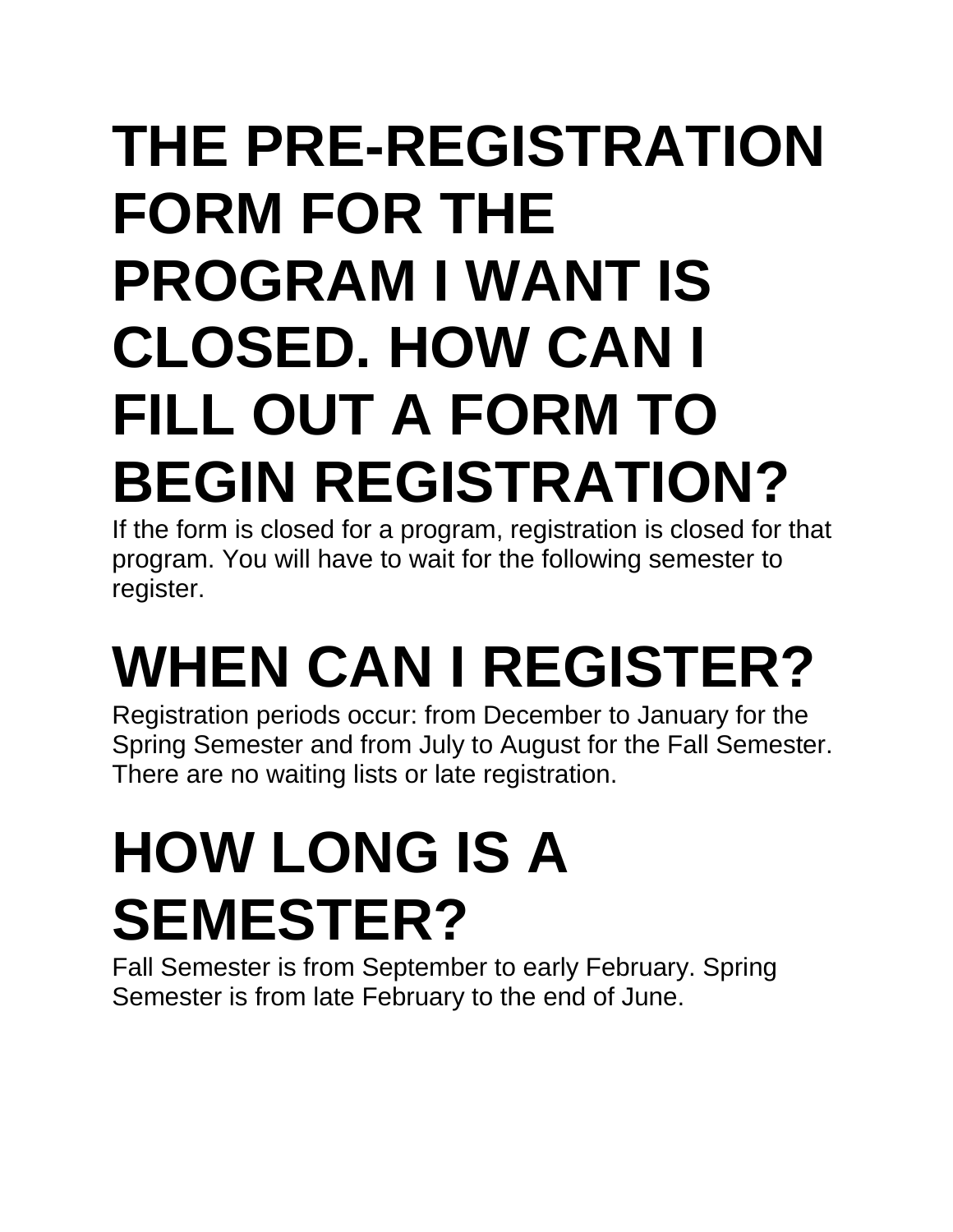### **THE PRE-REGISTRATION FORM FOR THE PROGRAM I WANT IS CLOSED. HOW CAN I FILL OUT A FORM TO BEGIN REGISTRATION?**

If the form is closed for a program, registration is closed for that program. You will have to wait for the following semester to register.

# **WHEN CAN I REGISTER?**

Registration periods occur: from December to January for the Spring Semester and from July to August for the Fall Semester. There are no waiting lists or late registration.

## **HOW LONG IS A SEMESTER?**

Fall Semester is from September to early February. Spring Semester is from late February to the end of June.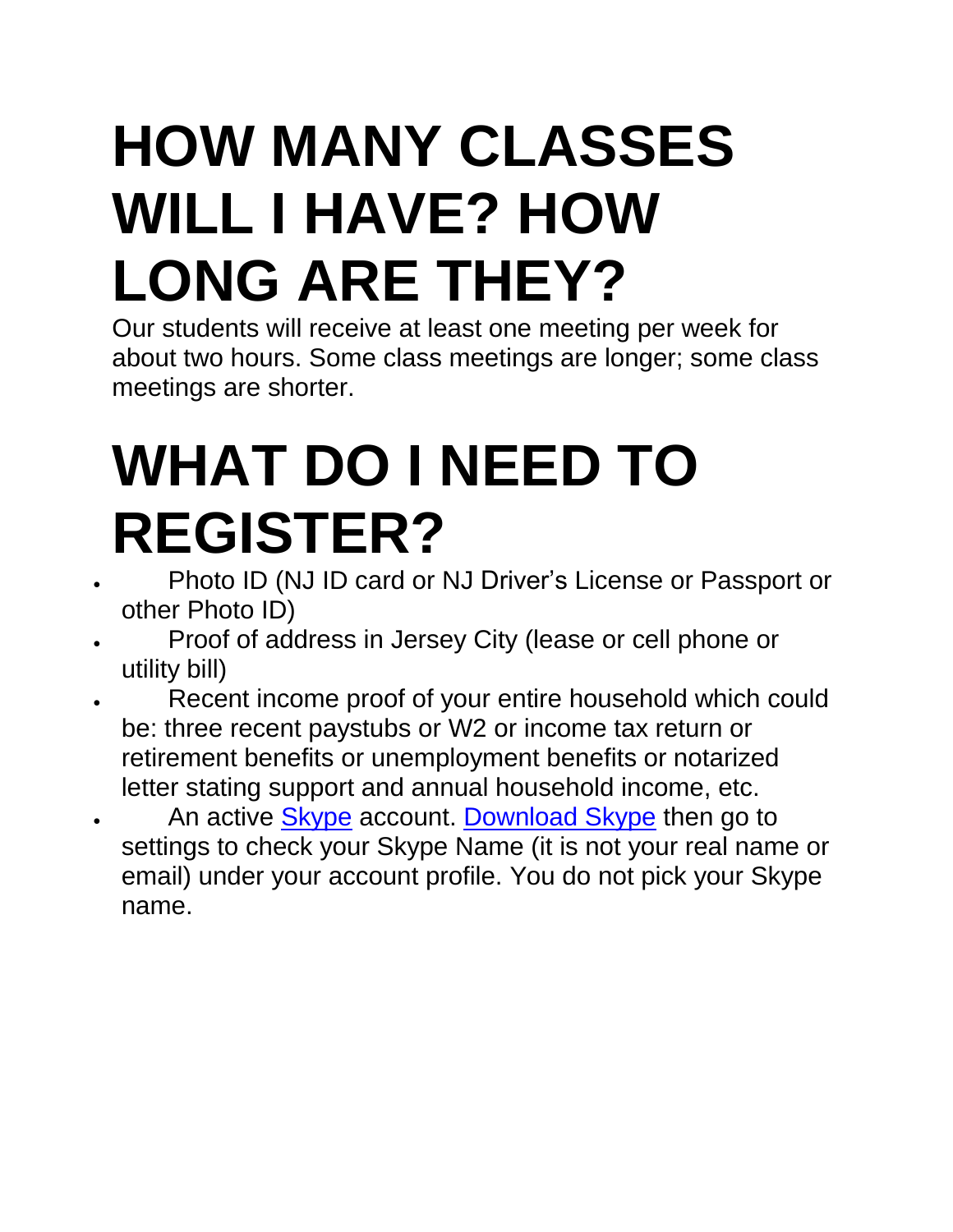### **HOW MANY CLASSES WILL I HAVE? HOW LONG ARE THEY?**

Our students will receive at least one meeting per week for about two hours. Some class meetings are longer; some class meetings are shorter.

### **WHAT DO I NEED TO REGISTER?**

- Photo ID (NJ ID card or NJ Driver's License or Passport or other Photo ID)
- Proof of address in Jersey City (lease or cell phone or utility bill)
- Recent income proof of your entire household which could be: three recent paystubs or W2 or income tax return or retirement benefits or unemployment benefits or notarized letter stating support and annual household income, etc.
- An active [Skype](https://www.skype.com/en/) account. [Download](https://www.skype.com/en/) Skype then go to settings to check your Skype Name (it is not your real name or email) under your account profile. You do not pick your Skype name.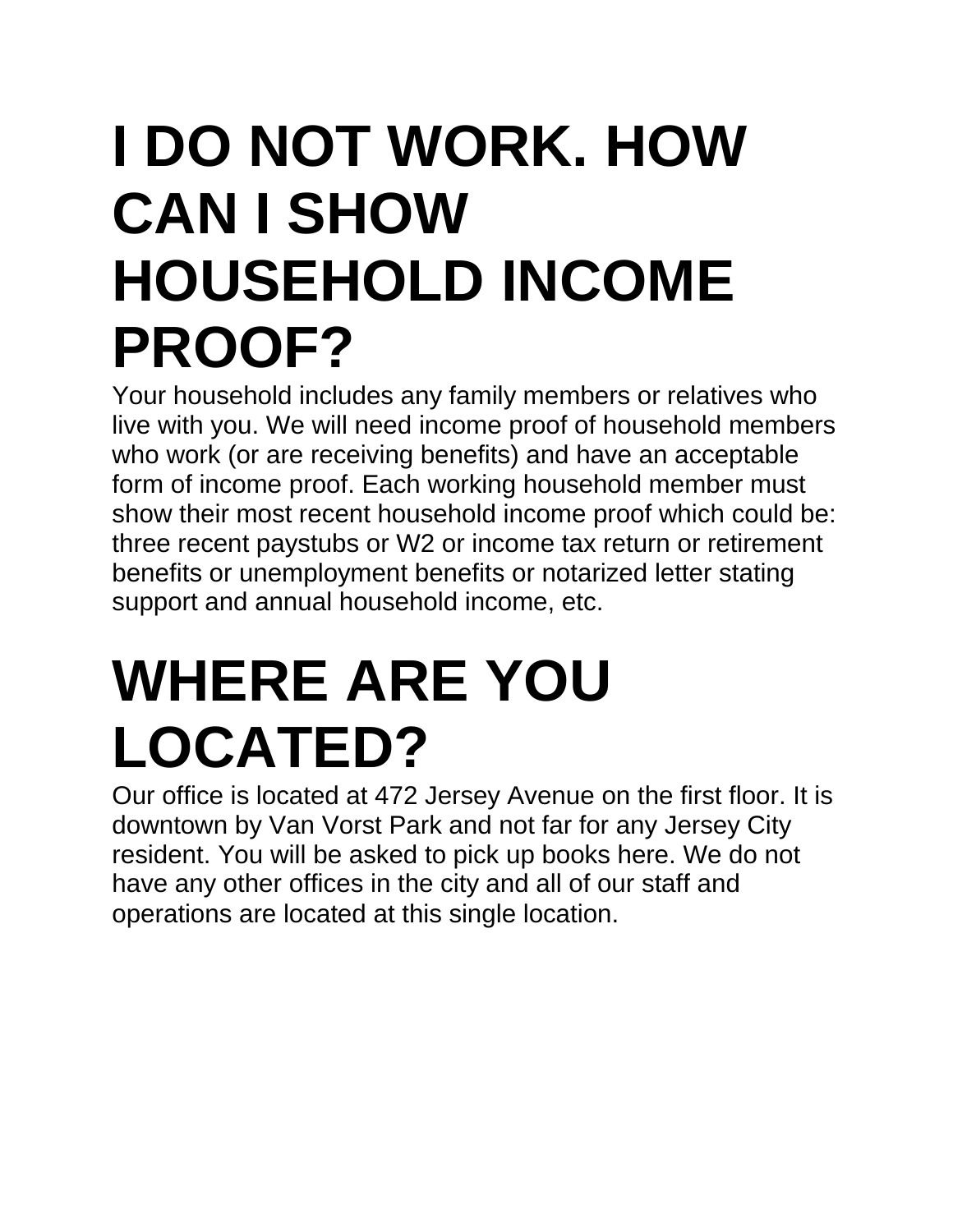### **I DO NOT WORK. HOW CAN I SHOW HOUSEHOLD INCOME PROOF?**

Your household includes any family members or relatives who live with you. We will need income proof of household members who work (or are receiving benefits) and have an acceptable form of income proof. Each working household member must show their most recent household income proof which could be: three recent paystubs or W2 or income tax return or retirement benefits or unemployment benefits or notarized letter stating support and annual household income, etc.

### **WHERE ARE YOU LOCATED?**

Our office is located at 472 Jersey Avenue on the first floor. It is downtown by Van Vorst Park and not far for any Jersey City resident. You will be asked to pick up books here. We do not have any other offices in the city and all of our staff and operations are located at this single location.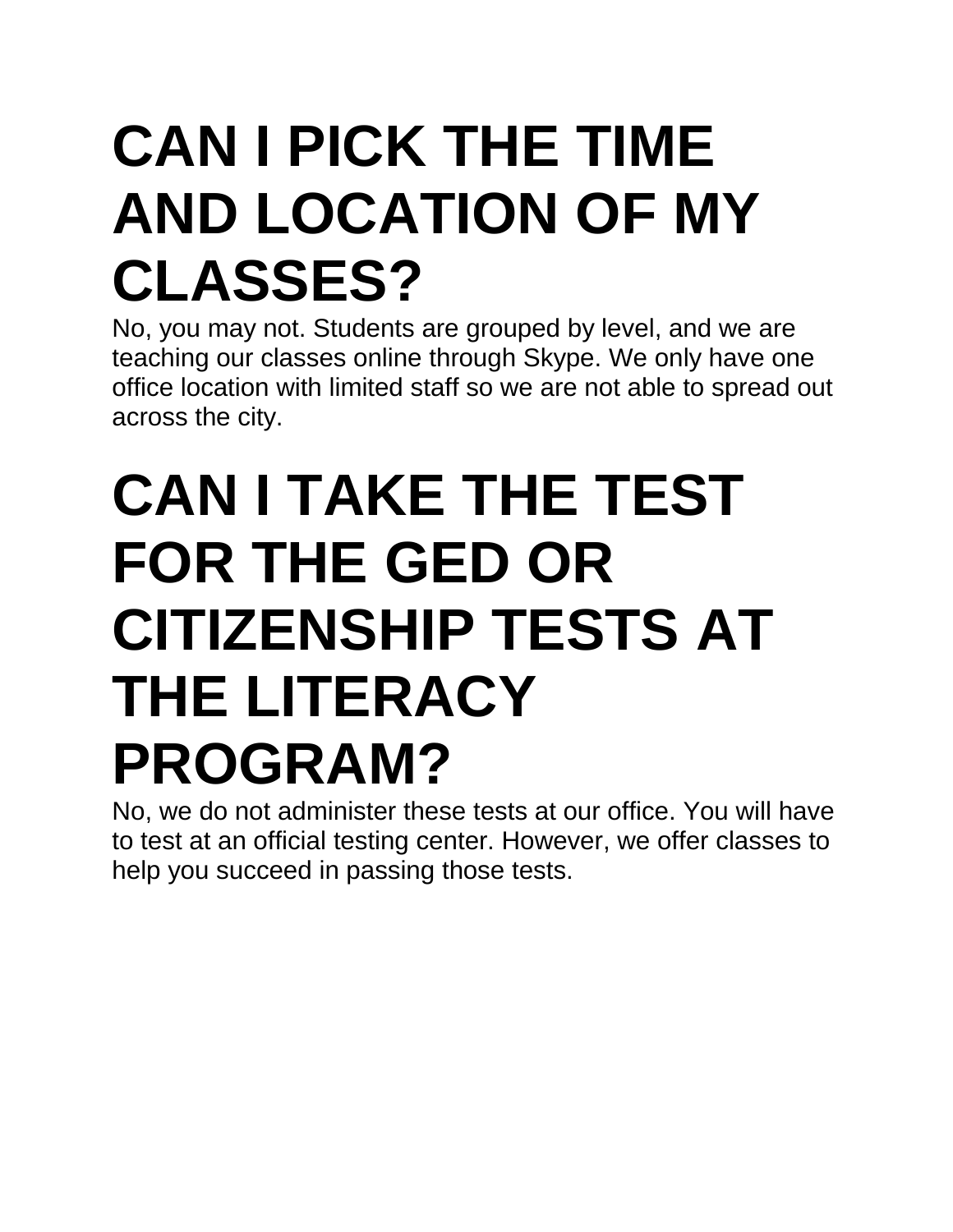### **CAN I PICK THE TIME AND LOCATION OF MY CLASSES?**

No, you may not. Students are grouped by level, and we are teaching our classes online through Skype. We only have one office location with limited staff so we are not able to spread out across the city.

#### **CAN I TAKE THE TEST FOR THE GED OR CITIZENSHIP TESTS AT THE LITERACY PROGRAM?**

No, we do not administer these tests at our office. You will have to test at an official testing center. However, we offer classes to help you succeed in passing those tests.